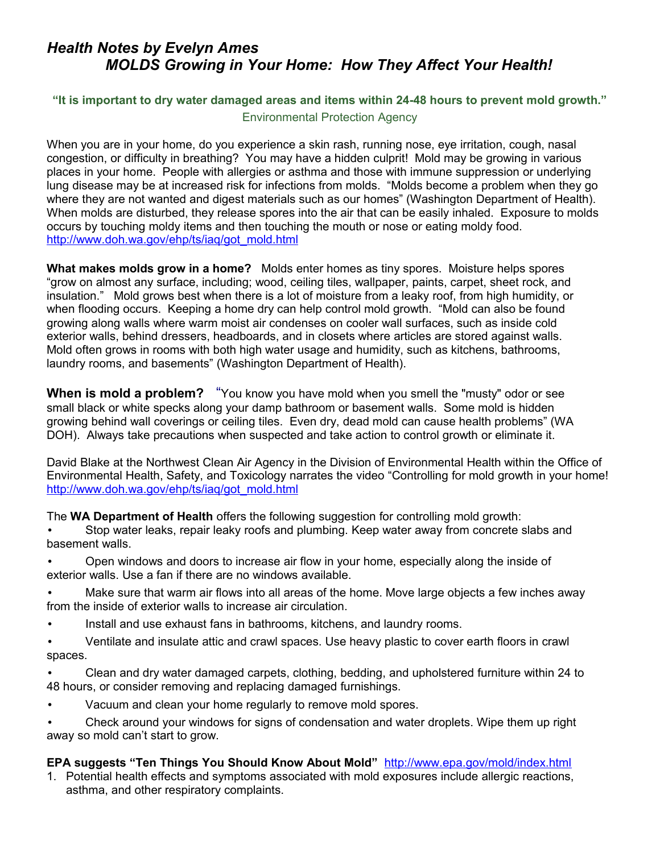## *Health Notes by Evelyn Ames MOLDS Growing in Your Home: How They Affect Your Health!*

## **"It is important to dry water damaged areas and items within 24-48 hours to prevent mold growth."** Environmental Protection Agency

When you are in your home, do you experience a skin rash, running nose, eye irritation, cough, nasal congestion, or difficulty in breathing? You may have a hidden culprit! Mold may be growing in various places in your home. People with allergies or asthma and those with immune suppression or underlying lung disease may be at increased risk for infections from molds. "Molds become a problem when they go where they are not wanted and digest materials such as our homes" (Washington Department of Health). When molds are disturbed, they release spores into the air that can be easily inhaled. Exposure to molds occurs by touching moldy items and then touching the mouth or nose or eating moldy food. [http://www.doh.wa.gov/ehp/ts/iaq/got\\_mold.html](http://www.doh.wa.gov/ehp/ts/iaq/got_mold.html) 

**What makes molds grow in a home?** Molds enter homes as tiny spores. Moisture helps spores "grow on almost any surface, including; wood, ceiling tiles, wallpaper, paints, carpet, sheet rock, and insulation." Mold grows best when there is a lot of moisture from a leaky roof, from high humidity, or when flooding occurs. Keeping a home dry can help control mold growth. "Mold can also be found growing along walls where warm moist air condenses on cooler wall surfaces, such as inside cold exterior walls, behind dressers, headboards, and in closets where articles are stored against walls. Mold often grows in rooms with both high water usage and humidity, such as kitchens, bathrooms, laundry rooms, and basements" (Washington Department of Health).

**When is mold a problem?** "You know you have mold when you smell the "musty" odor or see small black or white specks along your damp bathroom or basement walls. Some mold is hidden growing behind wall coverings or ceiling tiles. Even dry, dead mold can cause health problems" (WA DOH). Always take precautions when suspected and take action to control growth or eliminate it.

David Blake at the Northwest Clean Air Agency in the Division of Environmental Health within the Office of Environmental Health, Safety, and Toxicology narrates the video "Controlling for mold growth in your home! [http://www.doh.wa.gov/ehp/ts/iaq/got\\_mold.html](http://www.doh.wa.gov/ehp/ts/iaq/got_mold.html) 

The **WA Department of Health** offers the following suggestion for controlling mold growth:

• Stop water leaks, repair leaky roofs and plumbing. Keep water away from concrete slabs and basement walls.

- Open windows and doors to increase air flow in your home, especially along the inside of exterior walls. Use a fan if there are no windows available.
- Make sure that warm air flows into all areas of the home. Move large objects a few inches away from the inside of exterior walls to increase air circulation.
- Install and use exhaust fans in bathrooms, kitchens, and laundry rooms.
- Ventilate and insulate attic and crawl spaces. Use heavy plastic to cover earth floors in crawl spaces.
- Clean and dry water damaged carpets, clothing, bedding, and upholstered furniture within 24 to 48 hours, or consider removing and replacing damaged furnishings.
- Vacuum and clean your home regularly to remove mold spores.
- Check around your windows for signs of condensation and water droplets. Wipe them up right away so mold can't start to grow.

## **EPA suggests "Ten Things You Should Know About Mold"** <http://www.epa.gov/mold/index.html>

1. Potential health effects and symptoms associated with mold exposures include allergic reactions, asthma, and other respiratory complaints.